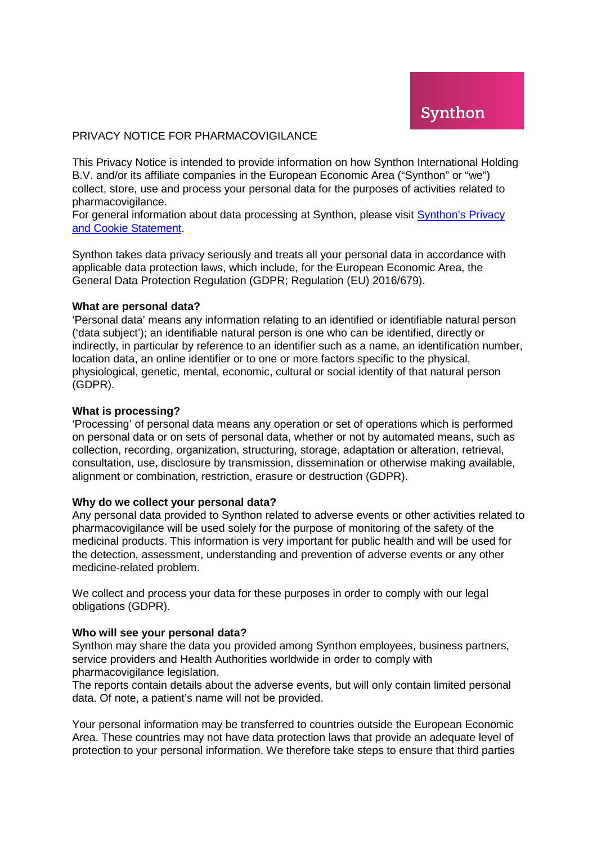### PRIVACY NOTICE FOR PHARMACOVIGILANCE

This Privacy Notice is intended to provide information on how Synthon International Holding B.V. and/or its affiliate companies in the European Economic Area ("Synthon" or "we") collect, store, use and process your personal data for the purposes of activities related to pharmacovigilance.

For general information about data processing at Synthon, please visit [Synthon's Privacy](https://www.synthon.com/information/privacy-and-cookie-statement)  [and Cookie Statement.](https://www.synthon.com/information/privacy-and-cookie-statement)

Synthon takes data privacy seriously and treats all your personal data in accordance with applicable data protection laws, which include, for the European Economic Area, the General Data Protection Regulation (GDPR; Regulation (EU) 2016/679).

### **What are personal data?**

'Personal data' means any information relating to an identified or identifiable natural person ('data subject'); an identifiable natural person is one who can be identified, directly or indirectly, in particular by reference to an identifier such as a name, an identification number, location data, an online identifier or to one or more factors specific to the physical, physiological, genetic, mental, economic, cultural or social identity of that natural person (GDPR).

#### **What is processing?**

'Processing' of personal data means any operation or set of operations which is performed on personal data or on sets of personal data, whether or not by automated means, such as collection, recording, organization, structuring, storage, adaptation or alteration, retrieval, consultation, use, disclosure by transmission, dissemination or otherwise making available, alignment or combination, restriction, erasure or destruction (GDPR).

### **Why do we collect your personal data?**

Any personal data provided to Synthon related to adverse events or other activities related to pharmacovigilance will be used solely for the purpose of monitoring of the safety of the medicinal products. This information is very important for public health and will be used for the detection, assessment, understanding and prevention of adverse events or any other medicine-related problem.

We collect and process your data for these purposes in order to comply with our legal obligations (GDPR).

### **Who will see your personal data?**

Synthon may share the data you provided among Synthon employees, business partners, service providers and Health Authorities worldwide in order to comply with pharmacovigilance legislation.

The reports contain details about the adverse events, but will only contain limited personal data. Of note, a patient's name will not be provided.

Your personal information may be transferred to countries outside the European Economic Area. These countries may not have data protection laws that provide an adequate level of protection to your personal information. We therefore take steps to ensure that third parties